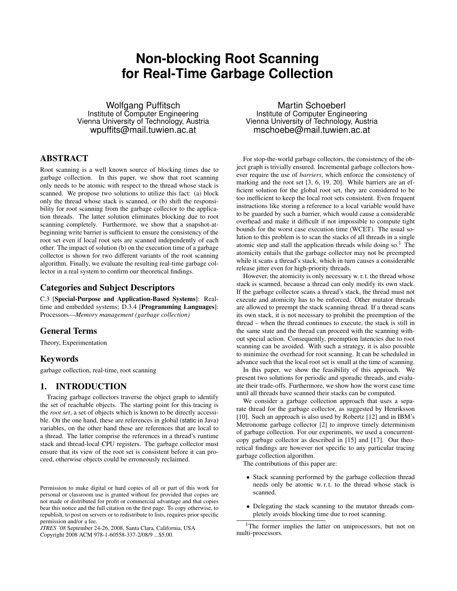# **Non-blocking Root Scanning for Real-Time Garbage Collection**

Wolfgang Puffitsch Institute of Computer Engineering Vienna University of Technology, Austria wpuffits@mail.tuwien.ac.at

# ABSTRACT

Root scanning is a well known source of blocking times due to garbage collection. In this paper, we show that root scanning only needs to be atomic with respect to the thread whose stack is scanned. We propose two solutions to utilize this fact: (a) block only the thread whose stack is scanned, or (b) shift the responsibility for root scanning from the garbage collector to the application threads. The latter solution eliminates blocking due to root scanning completely. Furthermore, we show that a snapshot-atbeginning write barrier is sufficient to ensure the consistency of the root set even if local root sets are scanned independently of each other. The impact of solution (b) on the execution time of a garbage collector is shown for two different variants of the root scanning algorithm. Finally, we evaluate the resulting real-time garbage collector in a real system to confirm our theoretical findings.

# Categories and Subject Descriptors

C.3 [Special-Purpose and Application-Based Systems]: Realtime and embedded systems; D.3.4 [Programming Languages]: Processors—*Memory management (garbage collection)*

# General Terms

Theory, Experimentation

# Keywords

garbage collection, real-time, root scanning

# 1. INTRODUCTION

Tracing garbage collectors traverse the object graph to identify the set of reachable objects. The starting point for this tracing is the *root set*, a set of objects which is known to be directly accessible. On the one hand, these are references in global (static in Java) variables, on the other hand these are references that are local to a thread. The latter comprise the references in a thread's runtime stack and thread-local CPU registers. The garbage collector must ensure that its view of the root set is consistent before it can proceed, otherwise objects could be erroneously reclaimed.

*JTRES '08* September 24-26, 2008, Santa Clara, California, USA Copyright 2008 ACM 978-1-60558-337-2/08/9 ...\$5.00.

Martin Schoeberl Institute of Computer Engineering Vienna University of Technology, Austria mschoebe@mail.tuwien.ac.at

For stop-the-world garbage collectors, the consistency of the object graph is trivially ensured. Incremental garbage collectors however require the use of *barriers*, which enforce the consistency of marking and the root set [3, 6, 19, 20]. While barriers are an efficient solution for the global root set, they are considered to be too inefficient to keep the local root sets consistent. Even frequent instructions like storing a reference to a local variable would have to be guarded by such a barrier, which would cause a considerable overhead and make it difficult if not impossible to compute tight bounds for the worst case execution time (WCET). The usual solution to this problem is to scan the stacks of all threads in a single atomic step and stall the application threads while doing  $so<sup>1</sup>$ . The atomicity entails that the garbage collector may not be preempted while it scans a thread's stack, which in turn causes a considerable release jitter even for high-priority threads.

However, the atomicity is only necessary w. r. t. the thread whose stack is scanned, because a thread can only modify its own stack. If the garbage collector scans a thread's stack, the thread must not execute and atomicity has to be enforced. Other mutator threads are allowed to preempt the stack scanning thread. If a thread scans its own stack, it is not necessary to prohibit the preemption of the thread – when the thread continues to execute, the stack is still in the same state and the thread can proceed with the scanning without special action. Consequently, preemption latencies due to root scanning can be avoided. With such a strategy, it is also possible to minimize the overhead for root scanning. It can be scheduled in advance such that the local root set is small at the time of scanning.

In this paper, we show the feasibility of this approach. We present two solutions for periodic and sporadic threads, and evaluate their trade-offs. Furthermore, we show how the worst case time until all threads have scanned their stacks can be computed.

We consider a garbage collection approach that uses a separate thread for the garbage collector, as suggested by Henriksson [10]. Such an approach is also used by Robertz [12] and in IBM's Metronome garbage collector [2] to improve timely determinism of garbage collection. For our experiments, we used a concurrentcopy garbage collector as described in [15] and [17]. Our theoretical findings are however not specific to any particular tracing garbage collection algorithm.

The contributions of this paper are:

- Stack scanning performed by the garbage collection thread needs only be atomic w. r. t. to the thread whose stack is scanned.
- Delegating the stack scanning to the mutator threads completely avoids blocking time due to root scanning.

Permission to make digital or hard copies of all or part of this work for personal or classroom use is granted without fee provided that copies are not made or distributed for profit or commercial advantage and that copies bear this notice and the full citation on the first page. To copy otherwise, to republish, to post on servers or to redistribute to lists, requires prior specific permission and/or a fee.

<sup>&</sup>lt;sup>1</sup>The former implies the latter on uniprocessors, but not on multi-processors.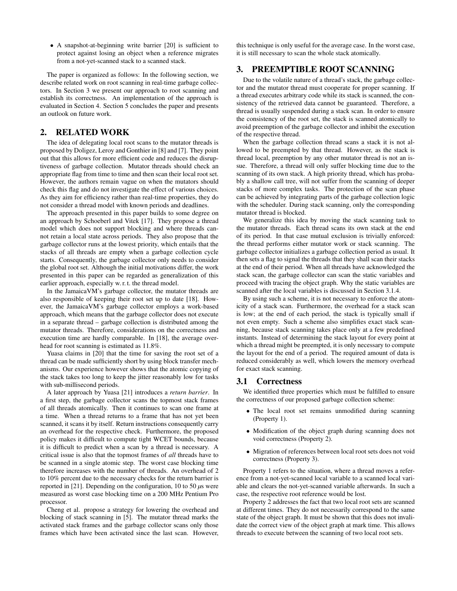• A snapshot-at-beginning write barrier [20] is sufficient to protect against losing an object when a reference migrates from a not-yet-scanned stack to a scanned stack.

The paper is organized as follows: In the following section, we describe related work on root scanning in real-time garbage collectors. In Section 3 we present our approach to root scanning and establish its correctness. An implementation of the approach is evaluated in Section 4. Section 5 concludes the paper and presents an outlook on future work.

# 2. RELATED WORK

The idea of delegating local root scans to the mutator threads is proposed by Doligez, Leroy and Gonthier in [8] and [7]. They point out that this allows for more efficient code and reduces the disruptiveness of garbage collection. Mutator threads should check an appropriate flag from time to time and then scan their local root set. However, the authors remain vague on when the mutators should check this flag and do not investigate the effect of various choices. As they aim for efficiency rather than real-time properties, they do not consider a thread model with known periods and deadlines.

The approach presented in this paper builds to some degree on an approach by Schoeberl and Vitek [17]. They propose a thread model which does not support blocking and where threads cannot retain a local state across periods. They also propose that the garbage collector runs at the lowest priority, which entails that the stacks of all threads are empty when a garbage collection cycle starts. Consequently, the garbage collector only needs to consider the global root set. Although the initial motivations differ, the work presented in this paper can be regarded as generalization of this earlier approach, especially w. r. t. the thread model.

In the JamaicaVM's garbage collector, the mutator threads are also responsible of keeping their root set up to date [18]. However, the JamaicaVM's garbage collector employs a work-based approach, which means that the garbage collector does not execute in a separate thread – garbage collection is distributed among the mutator threads. Therefore, considerations on the correctness and execution time are hardly comparable. In [18], the average overhead for root scanning is estimated as 11.8%.

Yuasa claims in [20] that the time for saving the root set of a thread can be made sufficiently short by using block transfer mechanisms. Our experience however shows that the atomic copying of the stack takes too long to keep the jitter reasonably low for tasks with sub-millisecond periods.

A later approach by Yuasa [21] introduces a *return barrier*. In a first step, the garbage collector scans the topmost stack frames of all threads atomically. Then it continues to scan one frame at a time. When a thread returns to a frame that has not yet been scanned, it scans it by itself. Return instructions consequently carry an overhead for the respective check. Furthermore, the proposed policy makes it difficult to compute tight WCET bounds, because it is difficult to predict when a scan by a thread is necessary. A critical issue is also that the topmost frames of *all* threads have to be scanned in a single atomic step. The worst case blocking time therefore increases with the number of threads. An overhead of 2 to 10% percent due to the necessary checks for the return barrier is reported in [21]. Depending on the configuration, 10 to 50 *µ*s were measured as worst case blocking time on a 200 MHz Pentium Pro processor.

Cheng et al. propose a strategy for lowering the overhead and blocking of stack scanning in [5]. The mutator thread marks the activated stack frames and the garbage collector scans only those frames which have been activated since the last scan. However,

this technique is only useful for the average case. In the worst case, it is still necessary to scan the whole stack atomically.

# 3. PREEMPTIBLE ROOT SCANNING

Due to the volatile nature of a thread's stack, the garbage collector and the mutator thread must cooperate for proper scanning. If a thread executes arbitrary code while its stack is scanned, the consistency of the retrieved data cannot be guaranteed. Therefore, a thread is usually suspended during a stack scan. In order to ensure the consistency of the root set, the stack is scanned atomically to avoid preemption of the garbage collector and inhibit the execution of the respective thread.

When the garbage collection thread scans a stack it is not allowed to be preempted by that thread. However, as the stack is thread local, preemption by any other mutator thread is not an issue. Therefore, a thread will only suffer blocking time due to the scanning of its own stack. A high priority thread, which has probably a shallow call tree, will not suffer from the scanning of deeper stacks of more complex tasks. The protection of the scan phase can be achieved by integrating parts of the garbage collection logic with the scheduler. During stack scanning, only the corresponding mutator thread is blocked.

We generalize this idea by moving the stack scanning task to the mutator threads. Each thread scans its own stack at the end of its period. In that case mutual exclusion is trivially enforced: the thread performs either mutator work or stack scanning. The garbage collector initializes a garbage collection period as usual. It then sets a flag to signal the threads that they shall scan their stacks at the end of their period. When all threads have acknowledged the stack scan, the garbage collector can scan the static variables and proceed with tracing the object graph. Why the static variables are scanned after the local variables is discussed in Section 3.1.4.

By using such a scheme, it is not necessary to enforce the atomicity of a stack scan. Furthermore, the overhead for a stack scan is low; at the end of each period, the stack is typically small if not even empty. Such a scheme also simplifies exact stack scanning, because stack scanning takes place only at a few predefined instants. Instead of determining the stack layout for every point at which a thread might be preempted, it is only necessary to compute the layout for the end of a period. The required amount of data is reduced considerably as well, which lowers the memory overhead for exact stack scanning.

## 3.1 Correctness

We identified three properties which must be fulfilled to ensure the correctness of our proposed garbage collection scheme:

- The local root set remains unmodified during scanning (Property 1).
- Modification of the object graph during scanning does not void correctness (Property 2).
- Migration of references between local root sets does not void correctness (Property 3).

Property 1 refers to the situation, where a thread moves a reference from a not-yet-scanned local variable to a scanned local variable and clears the not-yet-scanned variable afterwards. In such a case, the respective root reference would be lost.

Property 2 addresses the fact that two local root sets are scanned at different times. They do not necessarily correspond to the same state of the object graph. It must be shown that this does not invalidate the correct view of the object graph at mark time. This allows threads to execute between the scanning of two local root sets.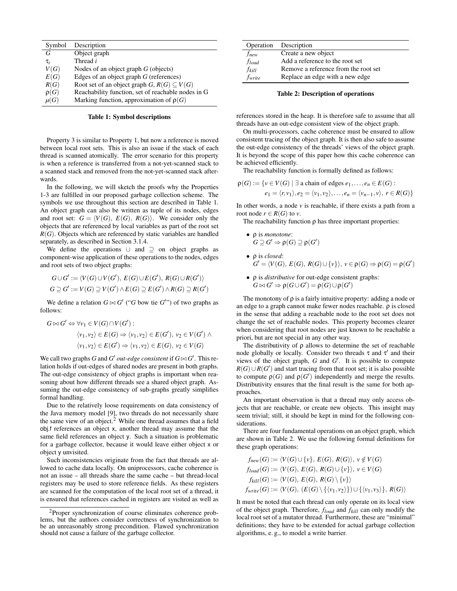| Symbol    | Description                                          |
|-----------|------------------------------------------------------|
| G         | Object graph                                         |
| $\tau_i$  | Thread i                                             |
| V(G)      | Nodes of an object graph $G$ (objects)               |
| E(G)      | Edges of an object graph $G$ (references)            |
| R(G)      | Root set of an object graph $G, R(G) \subseteq V(G)$ |
| $\rho(G)$ | Reachability function, set of reachable nodes in G   |
| µ(G       | Marking function, approximation of $\rho(G)$         |

#### Table 1: Symbol descriptions

Property 3 is similar to Property 1, but now a reference is moved between local root sets. This is also an issue if the stack of each thread is scanned atomically. The error scenario for this property is when a reference is transferred from a not-yet-scanned stack to a scanned stack and removed from the not-yet-scanned stack afterwards.

In the following, we will sketch the proofs why the Properties 1-3 are fulfilled in our proposed garbage collection scheme. The symbols we use throughout this section are described in Table 1. An object graph can also be written as tuple of its nodes, edges and root set:  $G = \langle V(G), E(G), R(G) \rangle$ . We consider only the objects that are referenced by local variables as part of the root set *R*(*G*). Objects which are referenced by static variables are handled separately, as described in Section 3.1.4.

We define the operations ∪ and ⊇ on object graphs as component-wise application of these operations to the nodes, edges and root sets of two object graphs:

$$
G \cup G' := \langle V(G) \cup V(G'), E(G) \cup E(G'), R(G) \cup R(G') \rangle
$$
  

$$
G \supseteq G' := V(G) \supseteq V(G') \wedge E(G) \supseteq E(G') \wedge R(G) \supseteq R(G')
$$

We define a relation  $G \bowtie G'$  ("*G* bow tie  $G'$ ") of two graphs as follows:

$$
G \bowtie G' \Leftrightarrow \forall v_1 \in V(G) \cap V(G') :
$$
  

$$
\langle v_1, v_2 \rangle \in E(G) \Rightarrow \langle v_1, v_2 \rangle \in E(G'), v_2 \in V(G') \land
$$
  

$$
\langle v_1, v_2 \rangle \in E(G') \Rightarrow \langle v_1, v_2 \rangle \in E(G), v_2 \in V(G)
$$

We call two graphs  $G$  and  $G'$  *out-edge consistent* if  $G \bowtie G'$ . This relation holds if out-edges of shared nodes are present in both graphs. The out-edge consistency of object graphs is important when reasoning about how different threads see a shared object graph. Assuming the out-edge consistency of sub-graphs greatly simplifies formal handling.

Due to the relatively loose requirements on data consistency of the Java memory model [9], two threads do not necessarily share the same view of an object.<sup>2</sup> While one thread assumes that a field obj.f references an object x, another thread may assume that the same field references an object y. Such a situation is problematic for a garbage collector, because it would leave either object x or object y unvisited.

Such inconsistencies originate from the fact that threads are allowed to cache data locally. On uniprocessors, cache coherence is not an issue – all threads share the same cache – but thread-local registers may be used to store reference fields. As these registers are scanned for the computation of the local root set of a thread, it is ensured that references cached in registers are visited as well as

|            | Operation Description                |
|------------|--------------------------------------|
| fnew       | Create a new object                  |
| fload      | Add a reference to the root set      |
| $f_{kill}$ | Remove a reference from the root set |
| fwrite     | Replace an edge with a new edge      |

#### Table 2: Description of operations

references stored in the heap. It is therefore safe to assume that all threads have an out-edge consistent view of the object graph.

On multi-processors, cache coherence must be ensured to allow consistent tracing of the object graph. It is then also safe to assume the out-edge consistency of the threads' views of the object graph. It is beyond the scope of this paper how this cache coherence can be achieved efficiently.

The reachability function is formally defined as follows:

$$
\rho(G) := \{v \in V(G) \mid \exists \text{ a chain of edges } e_1, \dots, e_n \in E(G) : e_1 = \langle r, v_1 \rangle, e_2 = \langle v_1, v_2 \rangle, \dots, e_n = \langle v_{n-1}, v \rangle, r \in R(G) \}
$$

In other words, a node *v* is reachable, if there exists a path from a root node  $r \in R(G)$  to *v*.

The reachability function  $\rho$  has three important properties:

- ρ is *monotone*:  $G \supseteq G' \Rightarrow \rho(G) \supseteq \rho(G')$
- ρ is *closed*:  $G' = \langle V(G), E(G), R(G) \cup \{v\} \rangle, v \in \rho(G) \Rightarrow \rho(G) = \rho(G')$
- ρ is *distributive* for out-edge consistent graphs:  $G \bowtie G' \Rightarrow \rho(G \cup G') = \rho(G) \cup \rho(G')$

The monotony of  $\rho$  is a fairly intuitive property: adding a node or an edge to a graph cannot make fewer nodes reachable. ρ is closed in the sense that adding a reachable node to the root set does not change the set of reachable nodes. This property becomes clearer when considering that root nodes are just known to be reachable a priori, but are not special in any other way.

The distributivity of  $\rho$  allows to determine the set of reachable node globally or locally. Consider two threads  $\tau$  and  $\tau'$  and their views of the object graph,  $G$  and  $G'$ . It is possible to compute  $R(G) \cup R(G')$  and start tracing from that root set; it is also possible to compute  $\rho(G)$  and  $\rho(G')$  independently and merge the results. Distributivity ensures that the final result is the same for both approaches.

An important observation is that a thread may only access objects that are reachable, or create new objects. This insight may seem trivial; still, it should be kept in mind for the following considerations.

There are four fundamental operations on an object graph, which are shown in Table 2. We use the following formal definitions for these graph operations:

$$
f_{new}(G) := \langle V(G) \cup \{v\}, E(G), R(G) \rangle, v \notin V(G)
$$
  

$$
f_{load}(G) := \langle V(G), E(G), R(G) \cup \{v\} \rangle, v \in V(G)
$$
  

$$
f_{kill}(G) := \langle V(G), E(G), R(G) \setminus \{v\} \rangle
$$
  

$$
f_{write}(G) := \langle V(G), (E(G) \setminus \{\langle v_1, v_2 \rangle\}) \cup \{\langle v_1, v_3 \rangle\}, R(G)
$$

It must be noted that each thread can only operate on its local view of the object graph. Therefore, *fload* and *fkill* can only modify the local root set of a mutator thread. Furthermore, these are "minimal" definitions; they have to be extended for actual garbage collection algorithms, e. g., to model a write barrier.

<sup>&</sup>lt;sup>2</sup>Proper synchronization of course eliminates coherence problems, but the authors consider correctness of synchronization to be an unreasonably strong precondition. Flawed synchronization should not cause a failure of the garbage collector.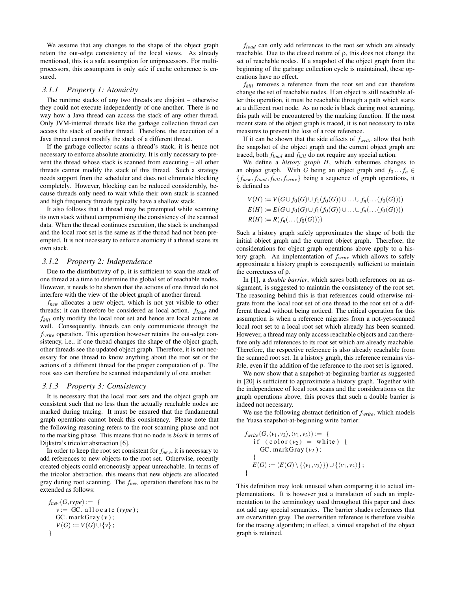We assume that any changes to the shape of the object graph retain the out-edge consistency of the local views. As already mentioned, this is a safe assumption for uniprocessors. For multiprocessors, this assumption is only safe if cache coherence is ensured.

## *3.1.1 Property 1: Atomicity*

The runtime stacks of any two threads are disjoint – otherwise they could not execute independently of one another. There is no way how a Java thread can access the stack of any other thread. Only JVM-internal threads like the garbage collection thread can access the stack of another thread. Therefore, the execution of a Java thread cannot modify the stack of a different thread.

If the garbage collector scans a thread's stack, it is hence not necessary to enforce absolute atomicity. It is only necessary to prevent the thread whose stack is scanned from executing – all other threads cannot modify the stack of this thread. Such a strategy needs support from the scheduler and does not eliminate blocking completely. However, blocking can be reduced considerably, because threads only need to wait while their own stack is scanned and high frequency threads typically have a shallow stack.

It also follows that a thread may be preempted while scanning its own stack without compromising the consistency of the scanned data. When the thread continues execution, the stack is unchanged and the local root set is the same as if the thread had not been preempted. It is not necessary to enforce atomicity if a thread scans its own stack.

#### *3.1.2 Property 2: Independence*

Due to the distributivity of  $ρ$ , it is sufficient to scan the stack of one thread at a time to determine the global set of reachable nodes. However, it needs to be shown that the actions of one thread do not interfere with the view of the object graph of another thread.

*fnew* allocates a new object, which is not yet visible to other threads; it can therefore be considered as local action. *fload* and *f<sub>kill</sub>* only modify the local root set and hence are local actions as well. Consequently, threads can only communicate through the *fwrite* operation. This operation however retains the out-edge consistency, i.e., if one thread changes the shape of the object graph, other threads see the updated object graph. Therefore, it is not necessary for one thread to know anything about the root set or the actions of a different thread for the proper computation of ρ. The root sets can therefore be scanned independently of one another.

## *3.1.3 Property 3: Consistency*

It is necessary that the local root sets and the object graph are consistent such that no less than the actually reachable nodes are marked during tracing. It must be ensured that the fundamental graph operations cannot break this consistency. Please note that the following reasoning refers to the root scanning phase and not to the marking phase. This means that no node is *black* in terms of Dijkstra's tricolor abstraction [6].

In order to keep the root set consistent for *fnew*, it is necessary to add references to new objects to the root set. Otherwise, recently created objects could erroneously appear unreachable. In terms of the tricolor abstraction, this means that new objects are allocated gray during root scanning. The *fnew* operation therefore has to be extended as follows:

$$
f_{new}(G, type) := \{ v := GC. \text{ allocate } (type) ;
$$
  
\n
$$
v := GC. \text{ all } oc \text{ at } e \text{ (type) } ;
$$
  
\n
$$
V(G) := V(G) \cup \{v\} ;
$$

*fload* can only add references to the root set which are already reachable. Due to the closed nature of ρ, this does not change the set of reachable nodes. If a snapshot of the object graph from the beginning of the garbage collection cycle is maintained, these operations have no effect.

*fkill* removes a reference from the root set and can therefore change the set of reachable nodes. If an object is still reachable after this operation, it must be reachable through a path which starts at a different root node. As no node is black during root scanning, this path will be encountered by the marking function. If the most recent state of the object graph is traced, it is not necessary to take measures to prevent the loss of a root reference.

If it can be shown that the side effects of *fwrite* allow that both the snapshot of the object graph and the current object graph are traced, both *fload* and *fkill* do not require any special action.

We define a *history graph H*, which subsumes changes to an object graph. With *G* being an object graph and  $f_0 \dots f_n \in$ { *fnew*, *fload*, *fkill*, *fwrite*} being a sequence of graph operations, it is defined as

$$
V(H) := V(G \cup f_0(G) \cup f_1(f_0(G)) \cup ... \cup f_n(...(f_0(G))))
$$
  
\n
$$
E(H) := E(G \cup f_0(G) \cup f_1(f_0(G)) \cup ... \cup f_n(...(f_0(G))))
$$
  
\n
$$
R(H) := R(f_n(...(f_0(G))))
$$

Such a history graph safely approximates the shape of both the initial object graph and the current object graph. Therefore, the considerations for object graph operations above apply to a history graph. An implementation of *fwrite* which allows to safely approximate a history graph is consequently sufficient to maintain the correctness of ρ.

In [1], a *double barrier*, which saves both references on an assignment, is suggested to maintain the consistency of the root set. The reasoning behind this is that references could otherwise migrate from the local root set of one thread to the root set of a different thread without being noticed. The critical operation for this assumption is when a reference migrates from a not-yet-scanned local root set to a local root set which already has been scanned. However, a thread may only access reachable objects and can therefore only add references to its root set which are already reachable. Therefore, the respective reference is also already reachable from the scanned root set. In a history graph, this reference remains visible, even if the addition of the reference to the root set is ignored.

We now show that a snapshot-at-beginning barrier as suggested in [20] is sufficient to approximate a history graph. Together with the independence of local root scans and the considerations on the graph operations above, this proves that such a double barrier is indeed not necessary.

We use the following abstract definition of *fwrite*, which models the Yuasa snapshot-at-beginning write barrier:

$$
f_{write}(G, \langle v_1, v_2 \rangle, \langle v_1, v_3 \rangle) := \{ \text{if } (\text{color}(v_2) = \text{white}) \} \}
$$
  
\nGC. markGray(v\_2);  
\n
$$
E(G) := (E(G) \setminus \{ \langle v_1, v_2 \rangle \}) \cup \{ \langle v_1, v_3 \rangle \};
$$

This definition may look unusual when comparing it to actual implementations. It is however just a translation of such an implementation to the terminology used throughout this paper and does not add any special semantics. The barrier shades references that are overwritten gray. The overwritten reference is therefore visible for the tracing algorithm; in effect, a virtual snapshot of the object graph is retained.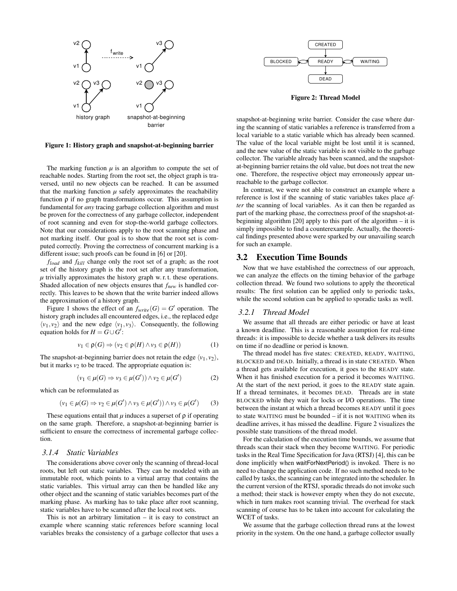

Figure 1: History graph and snapshot-at-beginning barrier

The marking function  $\mu$  is an algorithm to compute the set of reachable nodes. Starting from the root set, the object graph is traversed, until no new objects can be reached. It can be assumed that the marking function  $\mu$  safely approximates the reachability function ρ if no graph transformations occur. This assumption is fundamental for *any* tracing garbage collection algorithm and must be proven for the correctness of any garbage collector, independent of root scanning and even for stop-the-world garbage collectors. Note that our considerations apply to the root scanning phase and not marking itself. Our goal is to show that the root set is computed correctly. Proving the correctness of concurrent marking is a different issue; such proofs can be found in [6] or [20].

*fload* and *fkill* change only the root set of a graph; as the root set of the history graph is the root set after any transformation,  $\mu$  trivially approximates the history graph w. r. t. these operations. Shaded allocation of new objects ensures that *fnew* is handled correctly. This leaves to be shown that the write barrier indeed allows the approximation of a history graph.

Figure 1 shows the effect of an  $f_{\text{write}}(G) = G'$  operation. The history graph includes all encountered edges, i.e., the replaced edge  $\langle v_1, v_2 \rangle$  and the new edge  $\langle v_1, v_3 \rangle$ . Consequently, the following equation holds for  $H = G \cup G'$ :

$$
v_1 \in \rho(G) \Rightarrow (v_2 \in \rho(H) \land v_3 \in \rho(H)) \tag{1}
$$

The snapshot-at-beginning barrier does not retain the edge  $\langle v_1, v_2 \rangle$ , but it marks  $v_2$  to be traced. The appropriate equation is:

$$
(\nu_1 \in \mu(G) \Rightarrow \nu_3 \in \mu(G')) \land \nu_2 \in \mu(G')
$$
 (2)

which can be reformulated as

$$
(\nu_1 \in \mu(G) \Rightarrow \nu_2 \in \mu(G') \land \nu_3 \in \mu(G')) \land \nu_3 \in \mu(G') \qquad (3)
$$

These equations entail that  $\mu$  induces a superset of  $\rho$  if operating on the same graph. Therefore, a snapshot-at-beginning barrier is sufficient to ensure the correctness of incremental garbage collection.

#### *3.1.4 Static Variables*

The considerations above cover only the scanning of thread-local roots, but left out static variables. They can be modeled with an immutable root, which points to a virtual array that contains the static variables. This virtual array can then be handled like any other object and the scanning of static variables becomes part of the marking phase. As marking has to take place after root scanning, static variables have to be scanned after the local root sets.

This is not an arbitrary limitation  $-$  it is easy to construct an example where scanning static references before scanning local variables breaks the consistency of a garbage collector that uses a



Figure 2: Thread Model

snapshot-at-beginning write barrier. Consider the case where during the scanning of static variables a reference is transferred from a local variable to a static variable which has already been scanned. The value of the local variable might be lost until it is scanned, and the new value of the static variable is not visible to the garbage collector. The variable already has been scanned, and the snapshotat-beginning barrier retains the old value, but does not treat the new one. Therefore, the respective object may erroneously appear unreachable to the garbage collector.

In contrast, we were not able to construct an example where a reference is lost if the scanning of static variables takes place *after* the scanning of local variables. As it can then be regarded as part of the marking phase, the correctness proof of the snapshot-atbeginning algorithm [20] apply to this part of the algorithm – it is simply impossible to find a counterexample. Actually, the theoretical findings presented above were sparked by our unavailing search for such an example.

#### 3.2 Execution Time Bounds

Now that we have established the correctness of our approach, we can analyze the effects on the timing behavior of the garbage collection thread. We found two solutions to apply the theoretical results: The first solution can be applied only to periodic tasks, while the second solution can be applied to sporadic tasks as well.

#### *3.2.1 Thread Model*

We assume that all threads are either periodic or have at least a known deadline. This is a reasonable assumption for real-time threads: it is impossible to decide whether a task delivers its results on time if no deadline or period is known.

The thread model has five states: CREATED, READY, WAITING, BLOCKED and DEAD. Initially, a thread is in state CREATED. When a thread gets available for execution, it goes to the READY state. When it has finished execution for a period it becomes WAITING. At the start of the next period, it goes to the READY state again. If a thread terminates, it becomes DEAD. Threads are in state BLOCKED while they wait for locks or I/O operations. The time between the instant at which a thread becomes READY until it goes to state WAITING must be bounded – if it is not WAITING when its deadline arrives, it has missed the deadline. Figure 2 visualizes the possible state transitions of the thread model.

For the calculation of the execution time bounds, we assume that threads scan their stack when they become WAITING. For periodic tasks in the Real Time Specification for Java (RTSJ) [4], this can be done implicitly when waitForNextPeriod() is invoked. There is no need to change the application code. If no such method needs to be called by tasks, the scanning can be integrated into the scheduler. In the current version of the RTSJ, sporadic threads do not invoke such a method; their stack is however empty when they do not execute, which in turn makes root scanning trivial. The overhead for stack scanning of course has to be taken into account for calculating the WCET of tasks.

We assume that the garbage collection thread runs at the lowest priority in the system. On the one hand, a garbage collector usually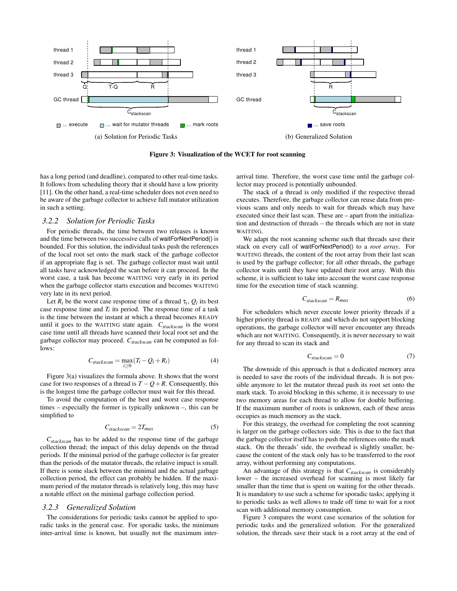

Figure 3: Visualization of the WCET for root scanning

has a long period (and deadline), compared to other real-time tasks. It follows from scheduling theory that it should have a low priority [11]. On the other hand, a real-time scheduler does not even need to be aware of the garbage collector to achieve full mutator utilization in such a setting.

#### *3.2.2 Solution for Periodic Tasks*

For periodic threads, the time between two releases is known and the time between two successive calls of waitForNextPeriod() is bounded. For this solution, the individual tasks push the references of the local root set onto the mark stack of the garbage collector if an appropriate flag is set. The garbage collector must wait until all tasks have acknowledged the scan before it can proceed. In the worst case, a task has become WAITING very early in its period when the garbage collector starts execution and becomes WAITING very late in its next period.

Let  $R_i$  be the worst case response time of a thread  $\tau_i$ ,  $Q_i$  its best case response time and  $T_i$  its period. The response time of a task is the time between the instant at which a thread becomes READY until it goes to the WAITING state again. *Cstackscan* is the worst case time until all threads have scanned their local root set and the garbage collector may proceed. *Cstackscan* can be computed as follows:

$$
C_{stackscan} = \max_{i \ge 0} (T_i - Q_i + R_i)
$$
\n(4)

Figure 3(a) visualizes the formula above. It shows that the worst case for two responses of a thread is  $T - Q + R$ . Consequently, this is the longest time the garbage collector must wait for this thread.

To avoid the computation of the best and worst case response times – especially the former is typically unknown –, this can be simplified to

$$
C_{stackscan} = 2T_{max} \tag{5}
$$

*Cstackscan* has to be added to the response time of the garbage collection thread; the impact of this delay depends on the thread periods. If the minimal period of the garbage collector is far greater than the periods of the mutator threads, the relative impact is small. If there is some slack between the minimal and the actual garbage collection period, the effect can probably be hidden. If the maximum period of the mutator threads is relatively long, this may have a notable effect on the minimal garbage collection period.

#### *3.2.3 Generalized Solution*

The considerations for periodic tasks cannot be applied to sporadic tasks in the general case. For sporadic tasks, the minimum inter-arrival time is known, but usually not the maximum interarrival time. Therefore, the worst case time until the garbage collector may proceed is potentially unbounded.

The stack of a thread is only modified if the respective thread executes. Therefore, the garbage collector can reuse data from previous scans and only needs to wait for threads which may have executed since their last scan. These are – apart from the initialization and destruction of threads – the threads which are not in state WAITING.

We adapt the root scanning scheme such that threads save their stack on every call of waitForNextPeriod() to a *root array*. For WAITING threads, the content of the root array from their last scan is used by the garbage collector; for all other threads, the garbage collector waits until they have updated their root array. With this scheme, it is sufficient to take into account the worst case response time for the execution time of stack scanning.

$$
C_{stackscan} = R_{max} \tag{6}
$$

For schedulers which never execute lower priority threads if a higher priority thread is READY and which do not support blocking operations, the garbage collector will never encounter any threads which are not WAITING. Consequently, it is never necessary to wait for any thread to scan its stack and

$$
C_{stackscan} = 0 \tag{7}
$$

The downside of this approach is that a dedicated memory area is needed to save the roots of the individual threads. It is not possible anymore to let the mutator thread push its root set onto the mark stack. To avoid blocking in this scheme, it is necessary to use two memory areas for each thread to allow for double buffering. If the maximum number of roots is unknown, each of these areas occupies as much memory as the stack.

For this strategy, the overhead for completing the root scanning is larger on the garbage collectors side. This is due to the fact that the garbage collector itself has to push the references onto the mark stack. On the threads' side, the overhead is slightly smaller, because the content of the stack only has to be transferred to the root array, without performing any computations.

An advantage of this strategy is that *Cstackscan* is considerably lower – the increased overhead for scanning is most likely far smaller than the time that is spent on waiting for the other threads. It is mandatory to use such a scheme for sporadic tasks; applying it to periodic tasks as well allows to trade off time to wait for a root scan with additional memory consumption.

Figure 3 compares the worst case scenarios of the solution for periodic tasks and the generalized solution. For the generalized solution, the threads save their stack in a root array at the end of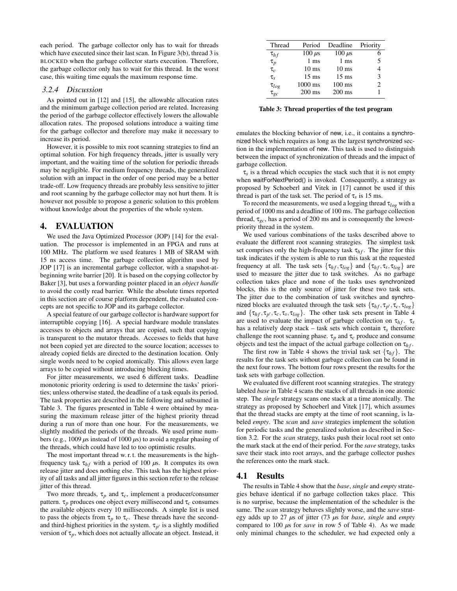each period. The garbage collector only has to wait for threads which have executed since their last scan. In Figure 3(b), thread 3 is BLOCKED when the garbage collector starts execution. Therefore, the garbage collector only has to wait for this thread. In the worst case, this waiting time equals the maximum response time.

### *3.2.4 Discussion*

As pointed out in [12] and [15], the allowable allocation rates and the minimum garbage collection period are related. Increasing the period of the garbage collector effectively lowers the allowable allocation rates. The proposed solutions introduce a waiting time for the garbage collector and therefore may make it necessary to increase its period.

However, it is possible to mix root scanning strategies to find an optimal solution. For high frequency threads, jitter is usually very important, and the waiting time of the solution for periodic threads may be negligible. For medium frequency threads, the generalized solution with an impact in the order of one period may be a better trade-off. Low frequency threads are probably less sensitive to jitter and root scanning by the garbage collector may not hurt them. It is however not possible to propose a generic solution to this problem without knowledge about the properties of the whole system.

## 4. EVALUATION

We used the Java Optimized Processor (JOP) [14] for the evaluation. The processor is implemented in an FPGA and runs at 100 MHz. The platform we used features 1 MB of SRAM with 15 ns access time. The garbage collection algorithm used by JOP [17] is an incremental garbage collector, with a snapshot-atbeginning write barrier [20]. It is based on the copying collector by Baker [3], but uses a forwarding pointer placed in an *object handle* to avoid the costly read barrier. While the absolute times reported in this section are of course platform dependent, the evaluated concepts are not specific to JOP and its garbage collector.

A special feature of our garbage collector is hardware support for interruptible copying [16]. A special hardware module translates accesses to objects and arrays that are copied, such that copying is transparent to the mutator threads. Accesses to fields that have not been copied yet are directed to the source location; accesses to already copied fields are directed to the destination location. Only single words need to be copied atomically. This allows even large arrays to be copied without introducing blocking times.

For jitter measurements, we used 6 different tasks. Deadline monotonic priority ordering is used to determine the tasks' priorities; unless otherwise stated, the deadline of a task equals its period. The task properties are described in the following and subsumed in Table 3. The figures presented in Table 4 were obtained by measuring the maximum release jitter of the highest priority thread during a run of more than one hour. For the measurements, we slightly modified the periods of the threads. We used prime numbers (e.g., 1009 *µ*s instead of 1000 *µ*s) to avoid a regular phasing of the threads, which could have led to too optimistic results.

The most important thread w. r. t. the measurements is the highfrequency task  $\tau_{hf}$  with a period of 100  $\mu$ s. It computes its own release jitter and does nothing else. This task has the highest priority of all tasks and all jitter figures in this section refer to the release jitter of this thread.

Two more threads,  $\tau_p$  and  $\tau_c$ , implement a producer/consumer pattern.  $\tau_p$  produces one object every millisecond and  $\tau_c$  consumes the available objects every 10 milliseconds. A simple list is used to pass the objects from  $\tau_p$  to  $\tau_c$ . These threads have the secondand third-highest priorities in the system.  $\tau_{p'}$  is a slightly modified version of  $\tau_p$ , which does not actually allocate an object. Instead, it

| Thread                            | Period           | Deadline         | Priority                    |
|-----------------------------------|------------------|------------------|-----------------------------|
| $\tau_{hf}$                       | $100 \mu s$      | $100 \mu s$      |                             |
|                                   | 1 <sub>ms</sub>  | $1 \text{ ms}$   | 5                           |
| $\mathfrak{r}_p$ $\mathfrak{r}_c$ | $10 \text{ ms}$  | $10 \text{ ms}$  | 4                           |
| $\tau_s$                          | $15 \text{ ms}$  | $15 \text{ ms}$  | 3                           |
| $\tau_{log}$                      | $1000$ ms        | $100 \text{ ms}$ | $\mathcal{D}_{\mathcal{L}}$ |
| $\tau_{gc}$                       | $200 \text{ ms}$ | $200 \text{ ms}$ |                             |
|                                   |                  |                  |                             |

Table 3: Thread properties of the test program

emulates the blocking behavior of new, i.e., it contains a synchronized block which requires as long as the largest synchronized section in the implementation of new. This task is used to distinguish between the impact of synchronization of threads and the impact of garbage collection.

τ*s* is a thread which occupies the stack such that it is not empty when waitForNextPeriod() is invoked. Consequently, a strategy as proposed by Schoeberl and Vitek in [17] cannot be used if this thread is part of the task set. The period of  $\tau_s$  is 15 ms.

To record the measurements, we used a logging thread τ*log* with a period of 1000 ms and a deadline of 100 ms. The garbage collection thread, τ*gc*, has a period of 200 ms and is consequently the lowestpriority thread in the system.

We used various combinations of the tasks described above to evaluate the different root scanning strategies. The simplest task set comprises only the high-frequency task  $\tau_{hf}$ . The jitter for this task indicates if the system is able to run this task at the requested frequency at all. The task sets  $\{\tau_{hf}, \tau_{log}\}$  and  $\{\tau_{hf}, \tau_s, \tau_{log}\}$  are used to measure the jitter due to task switches. As no garbage collection takes place and none of the tasks uses synchronized blocks, this is the only source of jitter for these two task sets. The jitter due to the combination of task switches and synchronized blocks are evaluated through the task sets  $\{\tau_{hf}, \tau_{p'}, \tau_c, \tau_{log}\}$ and  $\{\tau_{hf}, \tau_{p'}, \tau_c, \tau_s, \tau_{log}\}$ . The other task sets present in Table 4 are used to evaluate the impact of garbage collection on  $\tau_{hf}$ .  $\tau_s$ has a relatively deep stack – task sets which contain  $\tau_s$  therefore challenge the root scanning phase.  $\tau_p$  and  $\tau_c$  produce and consume objects and test the impact of the actual garbage collection on  $\tau_{hf}$ .

The first row in Table 4 shows the trivial task set  $\{\tau_{hf}\}$ . The results for the task sets without garbage collection can be found in the next four rows. The bottom four rows present the results for the task sets with garbage collection.

We evaluated five different root scanning strategies. The strategy labeled *base* in Table 4 scans the stacks of all threads in one atomic step. The *single* strategy scans one stack at a time atomically. The strategy as proposed by Schoeberl and Vitek [17], which assumes that the thread stacks are empty at the time of root scanning, is labeled *empty*. The *scan* and *save* strategies implement the solution for periodic tasks and the generalized solution as described in Section 3.2. For the *scan* strategy, tasks push their local root set onto the mark stack at the end of their period. For the *save* strategy, tasks save their stack into root arrays, and the garbage collector pushes the references onto the mark stack.

# 4.1 Results

The results in Table 4 show that the *base*, *single* and *empty* strategies behave identical if no garbage collection takes place. This is no surprise, because the implementation of the scheduler is the same. The *scan* strategy behaves slightly worse, and the *save* strategy adds up to 27 *µ*s of jitter (73 *µ*s for *base*, *single* and *empty* compared to 100 *µ*s for *save* in row 5 of Table 4). As we made only minimal changes to the scheduler, we had expected only a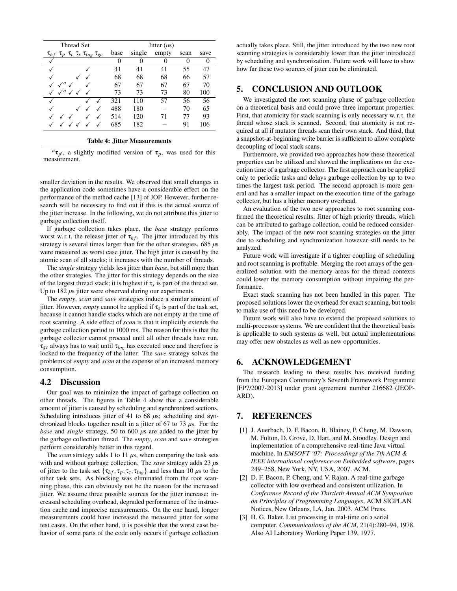| <b>Thread Set</b>                                                                                                               | Jitter $(\mu s)$ |              |       |      |      |
|---------------------------------------------------------------------------------------------------------------------------------|------------------|--------------|-------|------|------|
| $\tau_{hf}$<br>$\mathfrak{\tau}_{p}$ $\mathfrak{\tau}_{c}$ $\mathfrak{\tau}_{s}$ $\mathfrak{\tau}_{log}$ $\mathfrak{\tau}_{gc}$ | base             | single       | empty | scan | save |
|                                                                                                                                 | $\mathbf{0}$     | $\mathbf{0}$ |       | 0    |      |
|                                                                                                                                 | 41               | 41           | 41    | 55   | 47   |
|                                                                                                                                 | 68               | 68           | 68    | 66   | 57   |
|                                                                                                                                 | 67               | 67           | 67    | 67   | 70   |
| $\sqrt{a}$                                                                                                                      | 73               | 73           | 73    | 80   | 100  |
|                                                                                                                                 | 321              | 110          | 57    | 56   | 56   |
|                                                                                                                                 | 488              | 180          |       | 70   | 65   |
|                                                                                                                                 | 514              | 120          | 71    | 77   | 93   |
|                                                                                                                                 | 685              | 182          |       | 91   | 106  |

#### Table 4: Jitter Measurements

 $a_{\tau_{p'}}$ , a slightly modified version of  $\tau_p$ , was used for this measurement.

smaller deviation in the results. We observed that small changes in the application code sometimes have a considerable effect on the performance of the method cache [13] of JOP. However, further research will be necessary to find out if this is the actual source of the jitter increase. In the following, we do not attribute this jitter to garbage collection itself.

If garbage collection takes place, the *base* strategy performs worst w. r. t. the release jitter of  $\tau_{hf}$ . The jitter introduced by this strategy is several times larger than for the other strategies. 685 *µ*s were measured as worst case jitter. The high jitter is caused by the atomic scan of all stacks; it increases with the number of threads.

The *single* strategy yields less jitter than *base*, but still more than the other strategies. The jitter for this strategy depends on the size of the largest thread stack; it is highest if  $\tau_s$  is part of the thread set. Up to 182  $\mu$ s jitter were observed during our experiments.

The *empty*, *scan* and *save* strategies induce a similar amount of jitter. However, *empty* cannot be applied if  $\tau_s$  is part of the task set, because it cannot handle stacks which are not empty at the time of root scanning. A side effect of *scan* is that it implicitly extends the garbage collection period to 1000 ms. The reason for this is that the garbage collector cannot proceed until all other threads have run. τ*gc* always has to wait until τ*log* has executed once and therefore is locked to the frequency of the latter. The *save* strategy solves the problems of *empty* and *scan* at the expense of an increased memory consumption.

## 4.2 Discussion

Our goal was to minimize the impact of garbage collection on other threads. The figures in Table 4 show that a considerable amount of jitter is caused by scheduling and synchronized sections. Scheduling introduces jitter of 41 to 68  $\mu$ s; scheduling and synchronized blocks together result in a jitter of 67 to 73 *µ*s. For the *base* and *single* strategy, 50 to 600 *µ*s are added to the jitter by the garbage collection thread. The *empty*, *scan* and *save* strategies perform considerably better in this regard.

The *scan* strategy adds 1 to 11  $\mu$ s, when comparing the task sets with and without garbage collection. The *save* strategy adds 23 *µ*s of jitter to the task set  $\{\tau_{hf}, \tau_p, \tau_c, \tau_{log}\}\$  and less than 10  $\mu$ s to the other task sets. As blocking was eliminated from the root scanning phase, this can obviously not be the reason for the increased jitter. We assume three possible sources for the jitter increase: increased scheduling overhead, degraded performance of the instruction cache and imprecise measurements. On the one hand, longer measurements could have increased the measured jitter for some test cases. On the other hand, it is possible that the worst case behavior of some parts of the code only occurs if garbage collection actually takes place. Still, the jitter introduced by the two new root scanning strategies is considerably lower than the jitter introduced by scheduling and synchronization. Future work will have to show how far these two sources of jitter can be eliminated.

# 5. CONCLUSION AND OUTLOOK

We investigated the root scanning phase of garbage collection on a theoretical basis and could prove three important properties: First, that atomicity for stack scanning is only necessary w. r. t. the thread whose stack is scanned. Second, that atomicity is not required at all if mutator threads scan their own stack. And third, that a snapshot-at-beginning write barrier is sufficient to allow complete decoupling of local stack scans.

Furthermore, we provided two approaches how these theoretical properties can be utilized and showed the implications on the execution time of a garbage collector. The first approach can be applied only to periodic tasks and delays garbage collection by up to two times the largest task period. The second approach is more general and has a smaller impact on the execution time of the garbage collector, but has a higher memory overhead.

An evaluation of the two new approaches to root scanning confirmed the theoretical results. Jitter of high priority threads, which can be attributed to garbage collection, could be reduced considerably. The impact of the new root scanning strategies on the jitter due to scheduling and synchronization however still needs to be analyzed.

Future work will investigate if a tighter coupling of scheduling and root scanning is profitable. Merging the root arrays of the generalized solution with the memory areas for the thread contexts could lower the memory consumption without impairing the performance.

Exact stack scanning has not been handled in this paper. The proposed solutions lower the overhead for exact scanning, but tools to make use of this need to be developed.

Future work will also have to extend the proposed solutions to multi-processor systems. We are confident that the theoretical basis is applicable to such systems as well, but actual implementations may offer new obstacles as well as new opportunities.

## 6. ACKNOWLEDGEMENT

The research leading to these results has received funding from the European Community's Seventh Framework Programme [FP7/2007-2013] under grant agreement number 216682 (JEOP-ARD).

# 7. REFERENCES

- [1] J. Auerbach, D. F. Bacon, B. Blainey, P. Cheng, M. Dawson, M. Fulton, D. Grove, D. Hart, and M. Stoodley. Design and implementation of a comprehensive real-time Java virtual machine. In *EMSOFT '07: Proceedings of the 7th ACM & IEEE international conference on Embedded software*, pages 249–258, New York, NY, USA, 2007. ACM.
- [2] D. F. Bacon, P. Cheng, and V. Rajan. A real-time garbage collector with low overhead and consistent utilization. In *Conference Record of the Thirtieth Annual ACM Symposium on Principles of Programming Languages*, ACM SIGPLAN Notices, New Orleans, LA, Jan. 2003. ACM Press.
- [3] H. G. Baker. List processing in real-time on a serial computer. *Communications of the ACM*, 21(4):280–94, 1978. Also AI Laboratory Working Paper 139, 1977.